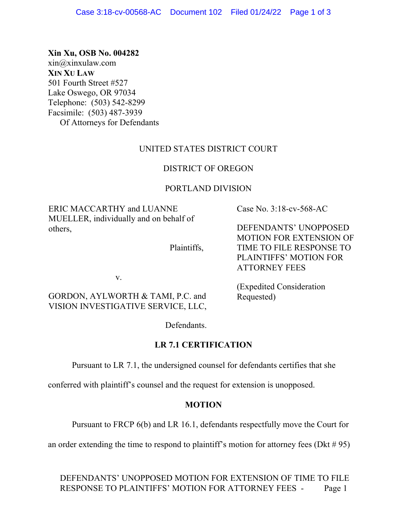### **Xin Xu, OSB No. 004282**

xin@xinxulaw.com **XIN XU LAW**  501 Fourth Street #527 Lake Oswego, OR 97034 Telephone: (503) 542-8299 Facsimile: (503) 487-3939 Of Attorneys for Defendants

# UNITED STATES DISTRICT COURT

### DISTRICT OF OREGON

### PORTLAND DIVISION

ERIC MACCARTHY and LUANNE MUELLER, individually and on behalf of others,

Case No. 3:18-cv-568-AC

DEFENDANTS' UNOPPOSED MOTION FOR EXTENSION OF TIME TO FILE RESPONSE TO PLAINTIFFS' MOTION FOR ATTORNEY FEES

v.

# GORDON, AYLWORTH & TAMI, P.C. and VISION INVESTIGATIVE SERVICE, LLC,

(Expedited Consideration Requested)

Defendants.

Plaintiffs,

### **LR 7.1 CERTIFICATION**

Pursuant to LR 7.1, the undersigned counsel for defendants certifies that she

conferred with plaintiff's counsel and the request for extension is unopposed.

### **MOTION**

Pursuant to FRCP 6(b) and LR 16.1, defendants respectfully move the Court for

an order extending the time to respond to plaintiff's motion for attorney fees (Dkt  $\# 95$ )

DEFENDANTS' UNOPPOSED MOTION FOR EXTENSION OF TIME TO FILE RESPONSE TO PLAINTIFFS' MOTION FOR ATTORNEY FEES - Page 1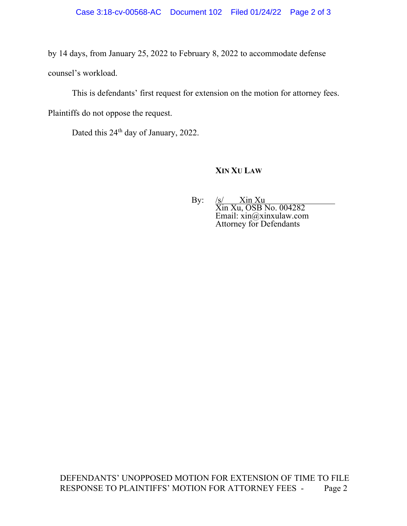by 14 days, from January 25, 2022 to February 8, 2022 to accommodate defense counsel's workload.

This is defendants' first request for extension on the motion for attorney fees.

Plaintiffs do not oppose the request.

Dated this 24<sup>th</sup> day of January, 2022.

#### **XIN XU LAW**

By: /s/ Xin Xu Xin Xu, OSB No. 004282 Email: xin@xinxulaw.com Attorney for Defendants